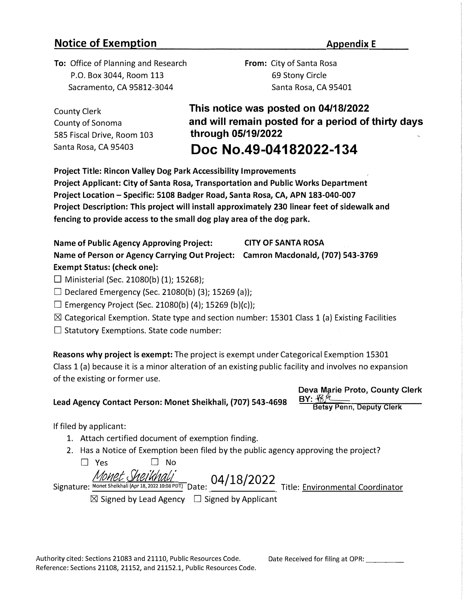## **Notice of Exemption** *Appendix E*

**To:** Office of Planning and Research P.O. Box 3044, Room 113 Sacramento, CA 95812-3044

**From:** City of Santa Rosa 69 Stony Circle Santa Rosa, CA 95401

County Clerk County of Sonoma 585 Fiscal Drive, Room 103 Santa Rosa, CA 95403

**This notice was posted on 04/18/2022 and will remain posted for a period of thirty days through 05/19/2022** 

# **Doc No.49-04182022-134**

**Project Title: Rincon Valley Dog Park Accessibility Improvements Project Applicant: City of Santa Rosa, Transportation and Public Works Department Project Location - Specific: 5108 Badger Road, Santa Rosa, CA, APN 183-040-007 Project Description: This project will install approximately 230 linear feet of sidewalk and**  fencing to provide access to the small dog play area of the dog park.

**Name of Public Agency Approving Project: CITY OF SANTA ROSA Name of Person or Agency Carrying Out Project: Camron Macdonald, (707) 543-3769 Exempt Status: (check one):** 

 $\Box$  Ministerial (Sec. 21080(b) (1); 15268);

 $\Box$  Declared Emergency (Sec. 21080(b) (3); 15269 (a));

 $\Box$  Emergency Project (Sec. 21080(b) (4); 15269 (b)(c));

 $\boxtimes$  Categorical Exemption. State type and section number: 15301 Class 1 (a) Existing Facilities

 $\square$  Statutory Exemptions. State code number:

**Reasons why project is exempt:** The project is exempt under Categorical Exemption 15301 Class 1 (a) because it is a minor alteration of an existing public facility and involves no expansion of the existing or former use.

## **Lead Agency Contact Person: Monet Sheikhali, (707) 543-4698**

**Deva Marie Proto, County Clerk**  <u>BY: 187 \_\_</u>

**Betsy Penn, Deputy Clerk** 

If filed by applicant:

- 1. Attach certified document of exemption finding.
- 2. Has a Notice of Exemption been filed by the public agency approving the project?

 $\square$  Yes  $\square$  No Signature: *Monet Shelkhali (Apr 18, 2022 10:08 PDT)* Date: 04/18/2022 Title: Environmental Coordinator  $\boxtimes$  Signed by Lead Agency  $\Box$  Signed by Applicant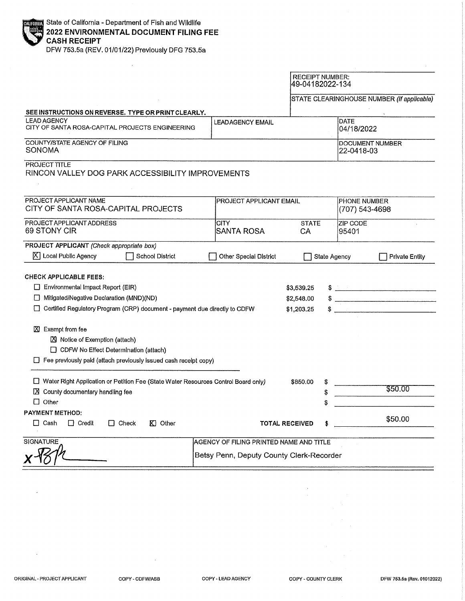| <b>ENDING State of California - Department of Fish and Wildlife<br/>2022 ENVIRONMENTAL DOCUMENT FILING FEE</b><br>CASH RECEIPT |
|--------------------------------------------------------------------------------------------------------------------------------|

DFW 753.5a (REV. 01/01/22) Previously DFG 753.5a

 $\sim$ 

|                                                                                                                                                                           |                                         |                               | <b>RECEIPT NUMBER:</b><br>49-04182022-134 |                                                                                                                                                                                                                                                                                                                                                                                                                                                                                                                             |  |
|---------------------------------------------------------------------------------------------------------------------------------------------------------------------------|-----------------------------------------|-------------------------------|-------------------------------------------|-----------------------------------------------------------------------------------------------------------------------------------------------------------------------------------------------------------------------------------------------------------------------------------------------------------------------------------------------------------------------------------------------------------------------------------------------------------------------------------------------------------------------------|--|
|                                                                                                                                                                           |                                         |                               |                                           | STATE CLEARINGHOUSE NUMBER (If applicable)                                                                                                                                                                                                                                                                                                                                                                                                                                                                                  |  |
| SEE INSTRUCTIONS ON REVERSE. TYPE OR PRINT CLEARLY.                                                                                                                       |                                         |                               |                                           |                                                                                                                                                                                                                                                                                                                                                                                                                                                                                                                             |  |
| <b>LEAD AGENCY</b><br>CITY OF SANTA ROSA-CAPITAL PROJECTS ENGINEERING                                                                                                     | <b>LEADAGENCY EMAIL</b>                 | <b>DATE</b><br>04/18/2022     |                                           |                                                                                                                                                                                                                                                                                                                                                                                                                                                                                                                             |  |
| COUNTY/STATE AGENCY OF FILING<br><b>SONOMA</b>                                                                                                                            |                                         | DOCUMENT NUMBER<br>22-0418-03 |                                           |                                                                                                                                                                                                                                                                                                                                                                                                                                                                                                                             |  |
| <b>PROJECT TITLE</b><br>RINCON VALLEY DOG PARK ACCESSIBILITY IMPROVEMENTS                                                                                                 |                                         |                               |                                           |                                                                                                                                                                                                                                                                                                                                                                                                                                                                                                                             |  |
| PROJECT APPLICANT NAME<br>CITY OF SANTA ROSA-CAPITAL PROJECTS                                                                                                             | PROJECT APPLICANT EMAIL                 |                               |                                           | <b>PHONE NUMBER</b><br>(707) 543-4698                                                                                                                                                                                                                                                                                                                                                                                                                                                                                       |  |
|                                                                                                                                                                           |                                         |                               |                                           |                                                                                                                                                                                                                                                                                                                                                                                                                                                                                                                             |  |
| PROJECT APPLICANT ADDRESS<br>69 STONY CIR                                                                                                                                 | <b>CITY</b><br><b>SANTA ROSA</b>        | <b>STATE</b><br>CA            | <b>ZIP CODE</b><br>95401                  |                                                                                                                                                                                                                                                                                                                                                                                                                                                                                                                             |  |
| PROJECT APPLICANT (Check appropriate box)                                                                                                                                 |                                         |                               |                                           |                                                                                                                                                                                                                                                                                                                                                                                                                                                                                                                             |  |
| X   Local Public Agency<br><b>School District</b>                                                                                                                         | Other Special District                  |                               | <b>State Agency</b>                       | <b>Private Entity</b>                                                                                                                                                                                                                                                                                                                                                                                                                                                                                                       |  |
| <b>CHECK APPLICABLE FEES:</b>                                                                                                                                             |                                         |                               |                                           |                                                                                                                                                                                                                                                                                                                                                                                                                                                                                                                             |  |
| Environmental Impact Report (EIR)                                                                                                                                         |                                         | \$3,539.25                    |                                           |                                                                                                                                                                                                                                                                                                                                                                                                                                                                                                                             |  |
| Mitigated/Negative Declaration (MND)(ND)                                                                                                                                  |                                         | \$2,548.00                    |                                           | $\frac{1}{2}$<br>$\label{eq:conformal} \begin{minipage}[t]{0.03\textwidth} \begin{minipage}[t]{0.03\textwidth} \centering \begin{minipage}[t]{0.03\textwidth} \centering \end{minipage}[t]{0.03\textwidth} \begin{minipage}[t]{0.03\textwidth} \centering \end{minipage}[t]{0.03\textwidth} \begin{minipage}[t]{0.03\textwidth} \centering \end{minipage}[t]{0.03\textwidth} \begin{minipage}[t]{0.03\textwidth} \centering \end{minipage}[t]{0.03\textwidth} \begin{minipage}[t]{0.03\textwidth} \centering \end{minipage$ |  |
| □ Certified Regulatory Program (CRP) document - payment due directly to CDFW                                                                                              |                                         | \$1,203.25                    |                                           |                                                                                                                                                                                                                                                                                                                                                                                                                                                                                                                             |  |
| $[2]$ Exempt from fee<br>Notice of Exemption (attach)<br>CDFW No Effect Determination (attach)<br>$\Box$ Fee previously paid (attach previously issued cash receipt copy) |                                         |                               |                                           |                                                                                                                                                                                                                                                                                                                                                                                                                                                                                                                             |  |
| □ Water Right Application or Petition Fee (State Water Resources Control Board only)                                                                                      |                                         | \$850.00                      |                                           |                                                                                                                                                                                                                                                                                                                                                                                                                                                                                                                             |  |
| X County documentary handling fee                                                                                                                                         |                                         |                               |                                           | \$50.00                                                                                                                                                                                                                                                                                                                                                                                                                                                                                                                     |  |
| $\Box$ Other                                                                                                                                                              |                                         |                               |                                           |                                                                                                                                                                                                                                                                                                                                                                                                                                                                                                                             |  |
| <b>PAYMENT METHOD:</b>                                                                                                                                                    |                                         |                               |                                           |                                                                                                                                                                                                                                                                                                                                                                                                                                                                                                                             |  |
| $\Box$ Cash<br>$\Box$ Credit<br>$\Box$ Check<br>$K1$ Other                                                                                                                |                                         | <b>TOTAL RECEIVED</b>         |                                           | \$50.00                                                                                                                                                                                                                                                                                                                                                                                                                                                                                                                     |  |
| <b>SIGNATURE</b>                                                                                                                                                          | AGENCY OF FILING PRINTED NAME AND TITLE |                               |                                           |                                                                                                                                                                                                                                                                                                                                                                                                                                                                                                                             |  |
| Betsy Penn, Deputy County Clerk-Recorder                                                                                                                                  |                                         |                               |                                           |                                                                                                                                                                                                                                                                                                                                                                                                                                                                                                                             |  |

 $\bar{z}$ 

 $\sim$ 

 $\sim$   $\sim$ 

 $\hat{\boldsymbol{\beta}}$ 

 $\hat{\mathcal{A}}$